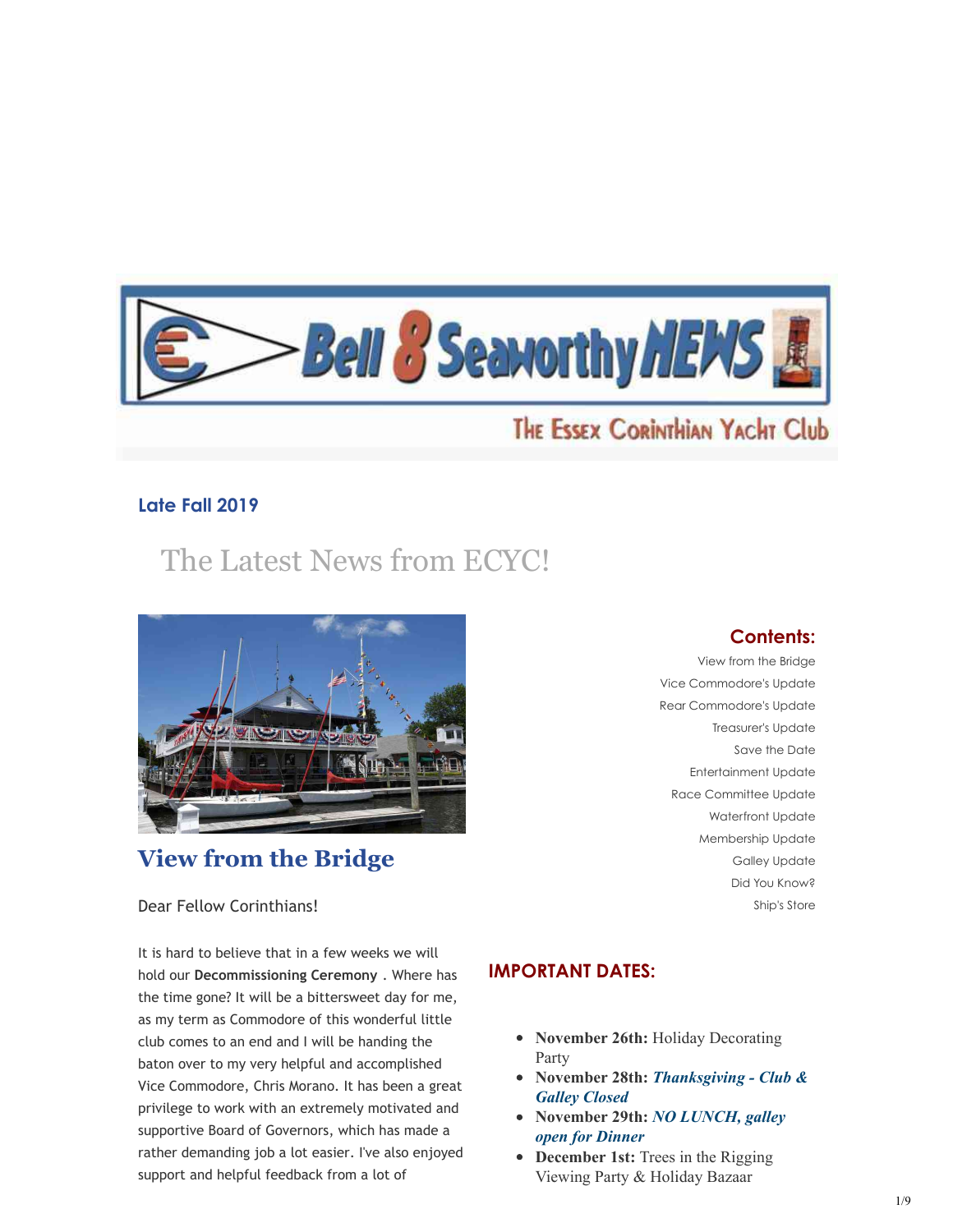

# THE ESSEX CORINTHIAN YACHT Club

# **Late Fall 2019**

# The Latest News from ECYC!



# **View from the Bridge**

#### Dear Fellow Corinthians!

It is hard to believe that in a few weeks we will hold our **Decommissioning Ceremony** . Where has the time gone? It will be a bittersweet day for me, as my term as Commodore of this wonderful little club comes to an end and I will be handing the baton over to my very helpful and accomplished Vice Commodore, Chris Morano. It has been a great privilege to work with an extremely motivated and supportive Board of Governors, which has made a rather demanding job a lot easier. I've also enjoyed support and helpful feedback from a lot of

## **Contents:**

View from the Bridge Vice Commodore's Update Rear Commodore's Update Treasurer's Update Save the Date Entertainment Update Race Committee Update Waterfront Update Membership Update Galley Update Did You Know? Ship's Store

# **IMPORTANT DATES:**

- November 26th: Holiday Decorating Party
- **November 28th:** *Thanksgiving Club & Galley Closed*
- **November 29th:** *NO LUNCH, galley open for Dinner*
- **December 1st:** Trees in the Rigging Viewing Party & Holiday Bazaar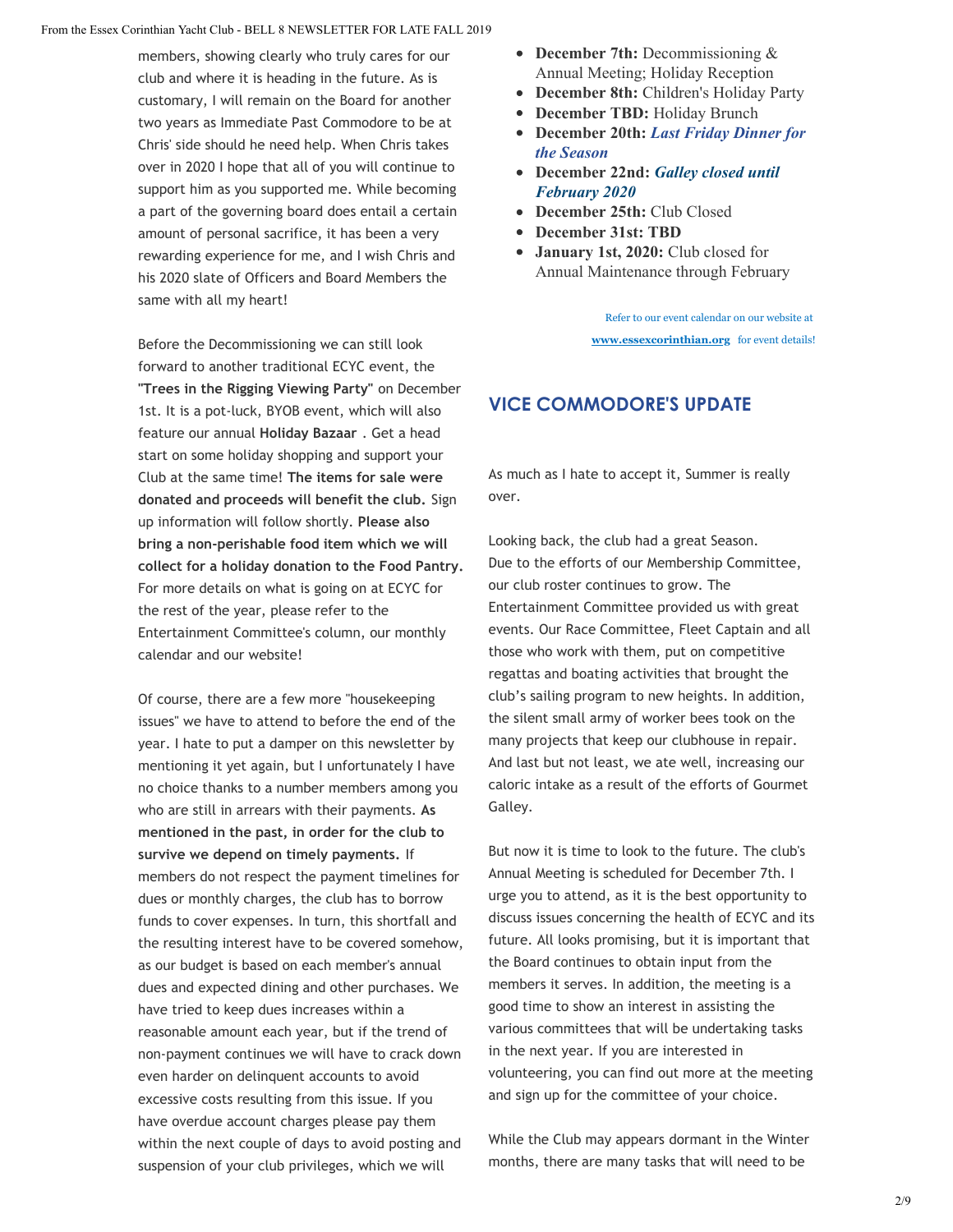members, showing clearly who truly cares for our club and where it is heading in the future. As is customary, I will remain on the Board for another two years as Immediate Past Commodore to be at Chris' side should he need help. When Chris takes over in 2020 I hope that all of you will continue to support him as you supported me. While becoming a part of the governing board does entail a certain amount of personal sacrifice, it has been a very rewarding experience for me, and I wish Chris and his 2020 slate of Officers and Board Members the same with all my heart!

Before the Decommissioning we can still look forward to another traditional ECYC event, the **"Trees in the Rigging Viewing Party"** on December 1st. It is a pot-luck, BYOB event, which will also feature our annual **Holiday Bazaar** . Get a head start on some holiday shopping and support your Club at the same time! **The items for sale were donated and proceeds will benefit the club.** Sign up information will follow shortly. **Please also bring a non-perishable food item which we will collect for a holiday donation to the Food Pantry.** For more details on what is going on at ECYC for the rest of the year, please refer to the Entertainment Committee's column, our monthly calendar and our website!

Of course, there are a few more "housekeeping issues" we have to attend to before the end of the year. I hate to put a damper on this newsletter by mentioning it yet again, but I unfortunately I have no choice thanks to a number members among you who are still in arrears with their payments. **As mentioned in the past, in order for the club to survive we depend on timely payments.** If members do not respect the payment timelines for dues or monthly charges, the club has to borrow funds to cover expenses. In turn, this shortfall and the resulting interest have to be covered somehow, as our budget is based on each member's annual dues and expected dining and other purchases. We have tried to keep dues increases within a reasonable amount each year, but if the trend of non-payment continues we will have to crack down even harder on delinquent accounts to avoid excessive costs resulting from this issue. If you have overdue account charges please pay them within the next couple of days to avoid posting and suspension of your club privileges, which we will

- **December 7th:** Decommissioning & Annual Meeting; Holiday Reception
- **December 8th:** Children's Holiday Party
- **December TBD:** Holiday Brunch
- **December 20th:** *Last Friday Dinner for the Season*
- **December 22nd:** *Galley closed until February 2020*
- December 25th: Club Closed
- **December 31st: TBD**
- **January 1st, 2020:** Club closed for Annual Maintenance through February

 Refer to our event calendar on our website at **[www.essexcorinthian.org](http://www.essexcorinthian.org/)** for event details!

# **VICE COMMODORE'S UPDATE**

As much as I hate to accept it, Summer is really over.

Looking back, the club had a great Season. Due to the efforts of our Membership Committee, our club roster continues to grow. The Entertainment Committee provided us with great events. Our Race Committee, Fleet Captain and all those who work with them, put on competitive regattas and boating activities that brought the club's sailing program to new heights. In addition, the silent small army of worker bees took on the many projects that keep our clubhouse in repair. And last but not least, we ate well, increasing our caloric intake as a result of the efforts of Gourmet Galley.

But now it is time to look to the future. The club's Annual Meeting is scheduled for December 7th. I urge you to attend, as it is the best opportunity to discuss issues concerning the health of ECYC and its future. All looks promising, but it is important that the Board continues to obtain input from the members it serves. In addition, the meeting is a good time to show an interest in assisting the various committees that will be undertaking tasks in the next year. If you are interested in volunteering, you can find out more at the meeting and sign up for the committee of your choice.

While the Club may appears dormant in the Winter months, there are many tasks that will need to be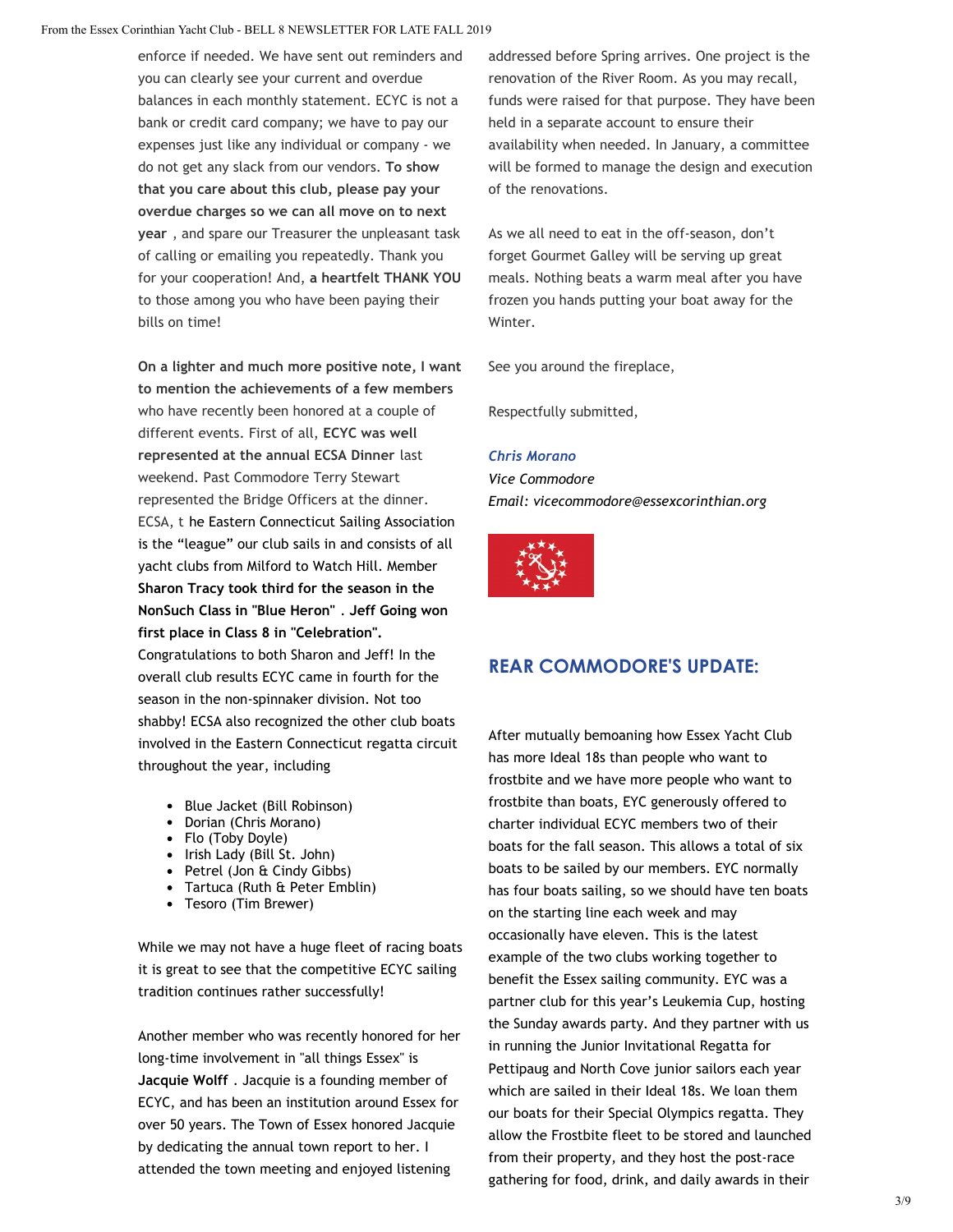enforce if needed. We have sent out reminders and you can clearly see your current and overdue balances in each monthly statement. ECYC is not a bank or credit card company; we have to pay our expenses just like any individual or company - we do not get any slack from our vendors. **To show that you care about this club, please pay your overdue charges so we can all move on to next year** , and spare our Treasurer the unpleasant task of calling or emailing you repeatedly. Thank you for your cooperation! And, **a heartfelt THANK YOU** to those among you who have been paying their bills on time!

**On a lighter and much more positive note, I want to mention the achievements of a few members** who have recently been honored at a couple of different events. First of all, **ECYC was well represented at the annual ECSA Dinner** last weekend. Past Commodore Terry Stewart represented the Bridge Officers at the dinner. ECSA, t he Eastern Connecticut Sailing Association is the "league" our club sails in and consists of all yacht clubs from Milford to Watch Hill. Member **Sharon Tracy took third for the season in the NonSuch Class in "Blue Heron"** . **Jeff Going won first place in Class 8 in "Celebration".**

Congratulations to both Sharon and Jeff! In the overall club results ECYC came in fourth for the season in the non-spinnaker division. Not too shabby! ECSA also recognized the other club boats involved in the Eastern Connecticut regatta circuit throughout the year, including

- Blue Jacket (Bill Robinson)
- Dorian (Chris Morano)
- Flo (Toby Doyle)
- Irish Lady (Bill St. John)
- Petrel (Jon & Cindy Gibbs)
- Tartuca (Ruth & Peter Emblin)
- Tesoro (Tim Brewer)

While we may not have a huge fleet of racing boats it is great to see that the competitive ECYC sailing tradition continues rather successfully!

Another member who was recently honored for her long-time involvement in "all things Essex" is **Jacquie Wolff** . Jacquie is a founding member of ECYC, and has been an institution around Essex for over 50 years. The Town of Essex honored Jacquie by dedicating the annual town report to her. I attended the town meeting and enjoyed listening

addressed before Spring arrives. One project is the renovation of the River Room. As you may recall, funds were raised for that purpose. They have been held in a separate account to ensure their availability when needed. In January, a committee will be formed to manage the design and execution of the renovations.

As we all need to eat in the off-season, don't forget Gourmet Galley will be serving up great meals. Nothing beats a warm meal after you have frozen you hands putting your boat away for the Winter.

See you around the fireplace,

Respectfully submitted,

#### *Chris Morano*

*Vice Commodore Email: vicecommodore@essexcorinthian.org*



# **REAR COMMODORE'S UPDATE:**

After mutually bemoaning how Essex Yacht Club has more Ideal 18s than people who want to frostbite and we have more people who want to frostbite than boats, EYC generously offered to charter individual ECYC members two of their boats for the fall season. This allows a total of six boats to be sailed by our members. EYC normally has four boats sailing, so we should have ten boats on the starting line each week and may occasionally have eleven. This is the latest example of the two clubs working together to benefit the Essex sailing community. EYC was a partner club for this year's Leukemia Cup, hosting the Sunday awards party. And they partner with us in running the Junior Invitational Regatta for Pettipaug and North Cove junior sailors each year which are sailed in their Ideal 18s. We loan them our boats for their Special Olympics regatta. They allow the Frostbite fleet to be stored and launched from their property, and they host the post-race gathering for food, drink, and daily awards in their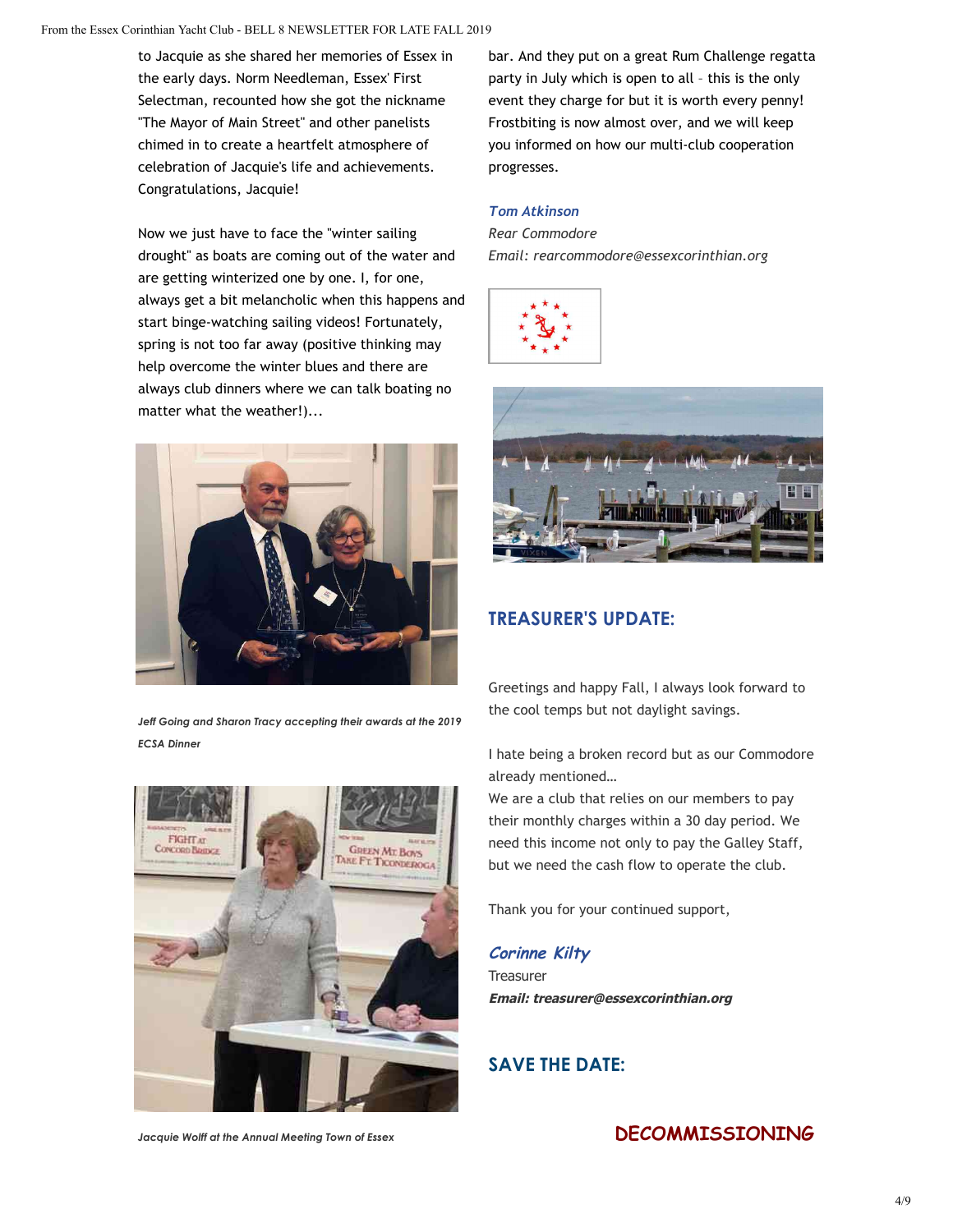to Jacquie as she shared her memories of Essex in the early days. Norm Needleman, Essex' First Selectman, recounted how she got the nickname "The Mayor of Main Street" and other panelists chimed in to create a heartfelt atmosphere of celebration of Jacquie's life and achievements. Congratulations, Jacquie!

Now we just have to face the "winter sailing drought" as boats are coming out of the water and are getting winterized one by one. I, for one, always get a bit melancholic when this happens and start binge-watching sailing videos! Fortunately, spring is not too far away (positive thinking may help overcome the winter blues and there are always club dinners where we can talk boating no matter what the weather!)...



*Jeff Going and Sharon Tracy accepting their awards at the 2019 ECSA Dinner*



bar. And they put on a great Rum Challenge regatta party in July which is open to all – this is the only event they charge for but it is worth every penny! Frostbiting is now almost over, and we will keep you informed on how our multi-club cooperation progresses.

#### *Tom Atkinson*

*Rear Commodore Email: rearcommodore@essexcorinthian.org*





## **TREASURER'S UPDATE:**

Greetings and happy Fall, I always look forward to the cool temps but not daylight savings.

I hate being a broken record but as our Commodore already mentioned…

We are a club that relies on our members to pay their monthly charges within a 30 day period. We need this income not only to pay the Galley Staff, but we need the cash flow to operate the club.

Thank you for your continued support,

## **Corinne Kilty Treasurer Email: treasurer@essexcorinthian.org**

# **SAVE THE DATE:**

*Jacquie Wolff at the Annual Meeting Town of Essex*

# **DECOMMISSIONING**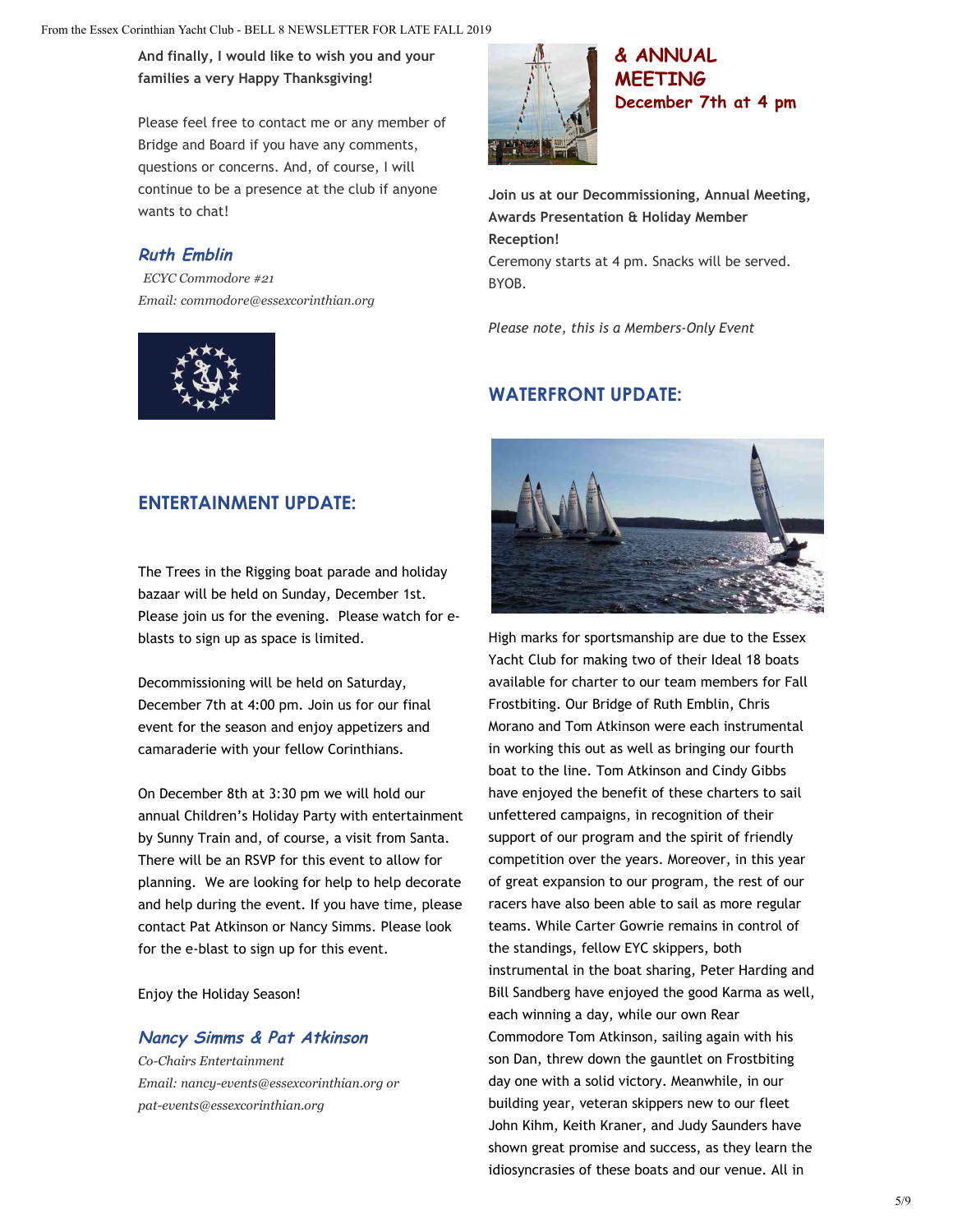**And finally, I would like to wish you and your families a very Happy Thanksgiving!**

Please feel free to contact me or any member of Bridge and Board if you have any comments, questions or concerns. And, of course, I will continue to be a presence at the club if anyone wants to chat!

## **Ruth Emblin**

*ECYC Commodore #21 Email: commodore@essexcorinthian.org*





**& ANNUAL MEETING December 7th at 4 pm**

**Join us at our Decommissioning, Annual Meeting, Awards Presentation & Holiday Member Reception!** Ceremony starts at 4 pm. Snacks will be served. BYOB.

*Please note, this is a Members-Only Event*

# **WATERFRONT UPDATE:**

## **ENTERTAINMENT UPDATE:**

The Trees in the Rigging boat parade and holiday bazaar will be held on Sunday, December 1st. Please join us for the evening. Please watch for eblasts to sign up as space is limited.

Decommissioning will be held on Saturday, December 7th at 4:00 pm. Join us for our final event for the season and enjoy appetizers and camaraderie with your fellow Corinthians.

On December 8th at 3:30 pm we will hold our annual Children's Holiday Party with entertainment by Sunny Train and, of course, a visit from Santa. There will be an RSVP for this event to allow for planning. We are looking for help to help decorate and help during the event. If you have time, please contact Pat Atkinson or Nancy Simms. Please look for the e-blast to sign up for this event.

Enjoy the Holiday Season!

#### **Nancy Simms & Pat Atkinson**

*Co-Chairs Entertainment Email: nancy-events@essexcorinthian.org or pat-events@essexcorinthian.org*



High marks for sportsmanship are due to the Essex Yacht Club for making two of their Ideal 18 boats available for charter to our team members for Fall Frostbiting. Our Bridge of Ruth Emblin, Chris Morano and Tom Atkinson were each instrumental in working this out as well as bringing our fourth boat to the line. Tom Atkinson and Cindy Gibbs have enjoyed the benefit of these charters to sail unfettered campaigns, in recognition of their support of our program and the spirit of friendly competition over the years. Moreover, in this year of great expansion to our program, the rest of our racers have also been able to sail as more regular teams. While Carter Gowrie remains in control of the standings, fellow EYC skippers, both instrumental in the boat sharing, Peter Harding and Bill Sandberg have enjoyed the good Karma as well, each winning a day, while our own Rear Commodore Tom Atkinson, sailing again with his son Dan, threw down the gauntlet on Frostbiting day one with a solid victory. Meanwhile, in our building year, veteran skippers new to our fleet John Kihm, Keith Kraner, and Judy Saunders have shown great promise and success, as they learn the idiosyncrasies of these boats and our venue. All in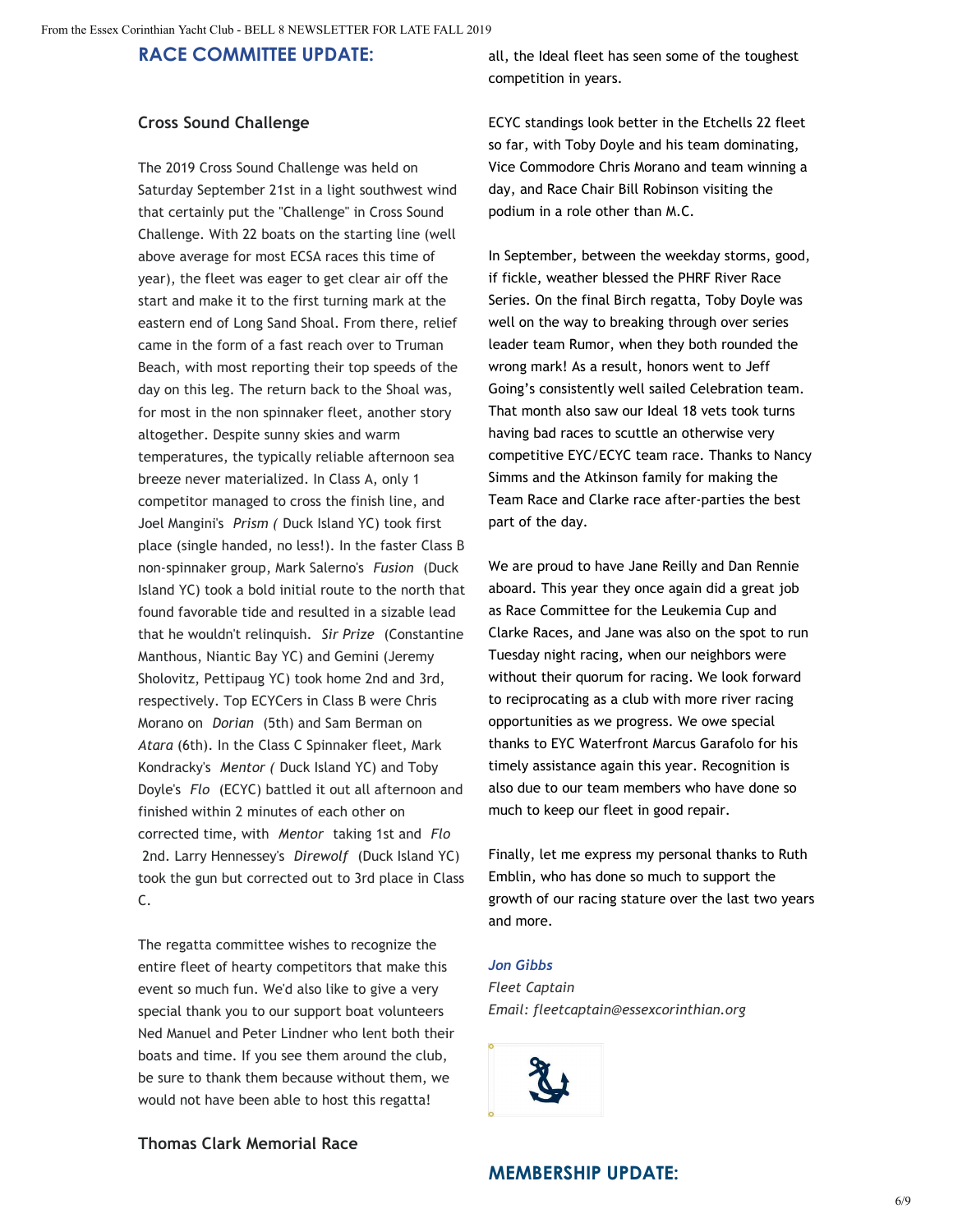#### **RACE COMMITTEE UPDATE:**

#### **Cross Sound Challenge**

The 2019 Cross Sound Challenge was held on Saturday September 21st in a light southwest wind that certainly put the "Challenge" in Cross Sound Challenge. With 22 boats on the starting line (well above average for most ECSA races this time of year), the fleet was eager to get clear air off the start and make it to the first turning mark at the eastern end of Long Sand Shoal. From there, relief came in the form of a fast reach over to Truman Beach, with most reporting their top speeds of the day on this leg. The return back to the Shoal was, for most in the non spinnaker fleet, another story altogether. Despite sunny skies and warm temperatures, the typically reliable afternoon sea breeze never materialized. In Class A, only 1 competitor managed to cross the finish line, and Joel Mangini's *Prism (* Duck Island YC) took first place (single handed, no less!). In the faster Class B non-spinnaker group, Mark Salerno's *Fusion* (Duck Island YC) took a bold initial route to the north that found favorable tide and resulted in a sizable lead that he wouldn't relinquish. *Sir Prize* (Constantine Manthous, Niantic Bay YC) and Gemini (Jeremy Sholovitz, Pettipaug YC) took home 2nd and 3rd, respectively. Top ECYCers in Class B were Chris Morano on *Dorian* (5th) and Sam Berman on *Atara* (6th). In the Class C Spinnaker fleet, Mark Kondracky's *Mentor (* Duck Island YC) and Toby Doyle's *Flo*  (ECYC) battled it out all afternoon and finished within 2 minutes of each other on corrected time, with *Mentor* taking 1st and *Flo* 2nd. Larry Hennessey's *Direwolf* (Duck Island YC) took the gun but corrected out to 3rd place in Class C.

The regatta committee wishes to recognize the entire fleet of hearty competitors that make this event so much fun. We'd also like to give a very special thank you to our support boat volunteers Ned Manuel and Peter Lindner who lent both their boats and time. If you see them around the club, be sure to thank them because without them, we would not have been able to host this regatta!

all, the Ideal fleet has seen some of the toughest competition in years.

ECYC standings look better in the Etchells 22 fleet so far, with Toby Doyle and his team dominating, Vice Commodore Chris Morano and team winning a day, and Race Chair Bill Robinson visiting the podium in a role other than M.C.

In September, between the weekday storms, good, if fickle, weather blessed the PHRF River Race Series. On the final Birch regatta, Toby Doyle was well on the way to breaking through over series leader team Rumor, when they both rounded the wrong mark! As a result, honors went to Jeff Going's consistently well sailed Celebration team. That month also saw our Ideal 18 vets took turns having bad races to scuttle an otherwise very competitive EYC/ECYC team race. Thanks to Nancy Simms and the Atkinson family for making the Team Race and Clarke race after-parties the best part of the day.

We are proud to have Jane Reilly and Dan Rennie aboard. This year they once again did a great job as Race Committee for the Leukemia Cup and Clarke Races, and Jane was also on the spot to run Tuesday night racing, when our neighbors were without their quorum for racing. We look forward to reciprocating as a club with more river racing opportunities as we progress. We owe special thanks to EYC Waterfront Marcus Garafolo for his timely assistance again this year. Recognition is also due to our team members who have done so much to keep our fleet in good repair.

Finally, let me express my personal thanks to Ruth Emblin, who has done so much to support the growth of our racing stature over the last two years and more.

#### *Jon Gibbs*

*Fleet Captain Email: [fleetcaptain@essexcorinthian.org](mailto:fleetcaptain@essexcorinthian.org)*



**Thomas Clark Memorial Race**

#### **MEMBERSHIP UPDATE:**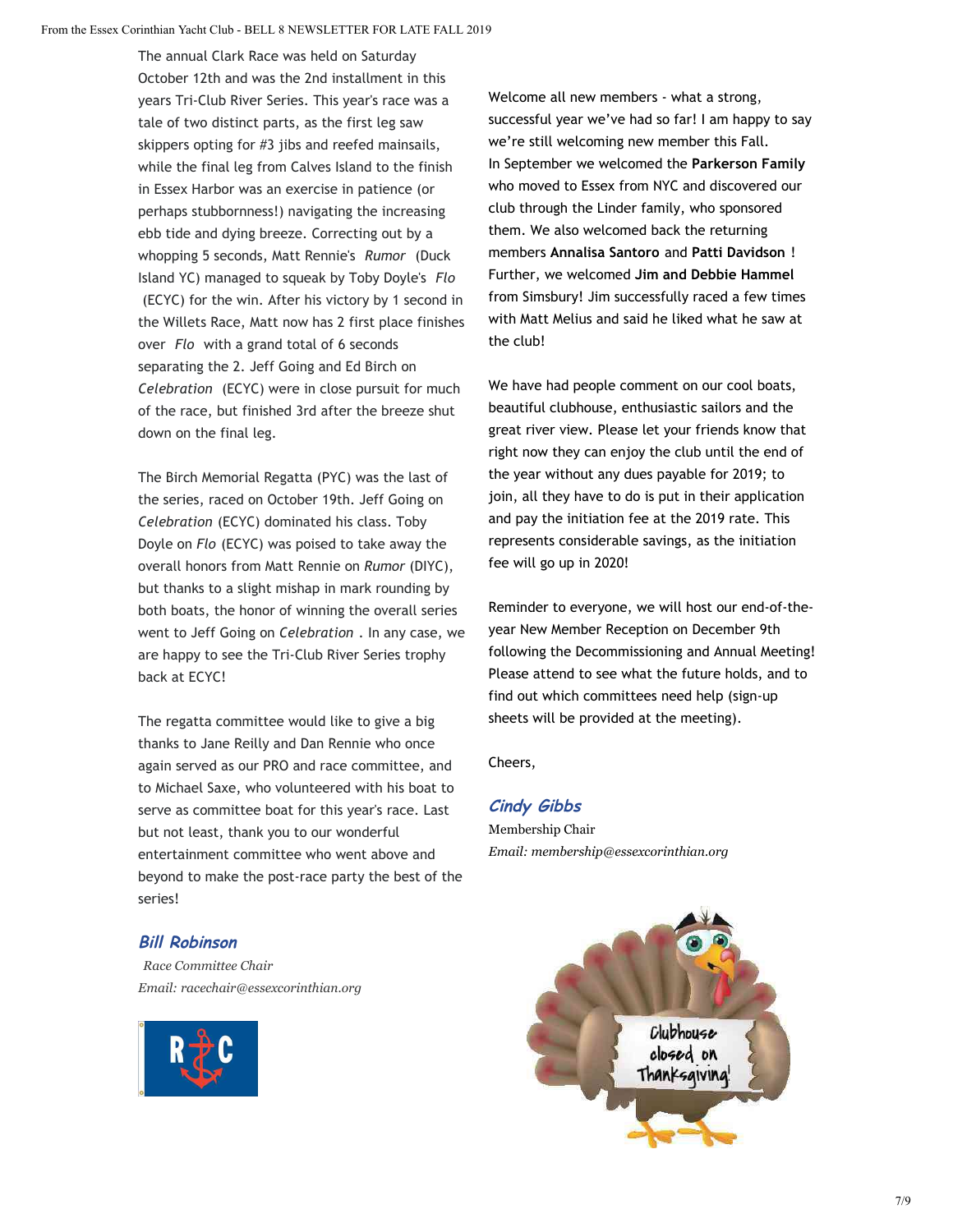The annual Clark Race was held on Saturday October 12th and was the 2nd installment in this years Tri-Club River Series. This year's race was a tale of two distinct parts, as the first leg saw skippers opting for #3 jibs and reefed mainsails, while the final leg from Calves Island to the finish in Essex Harbor was an exercise in patience (or perhaps stubbornness!) navigating the increasing ebb tide and dying breeze. Correcting out by a whopping 5 seconds, Matt Rennie's *Rumor* (Duck Island YC) managed to squeak by Toby Doyle's *Flo* (ECYC) for the win. After his victory by 1 second in the Willets Race, Matt now has 2 first place finishes over *Flo* with a grand total of 6 seconds separating the 2. Jeff Going and Ed Birch on *Celebration*  (ECYC) were in close pursuit for much of the race, but finished 3rd after the breeze shut down on the final leg.

The Birch Memorial Regatta (PYC) was the last of the series, raced on October 19th. Jeff Going on *Celebration* (ECYC) dominated his class. Toby Doyle on *Flo* (ECYC) was poised to take away the overall honors from Matt Rennie on *Rumor* (DIYC), but thanks to a slight mishap in mark rounding by both boats, the honor of winning the overall series went to Jeff Going on *Celebration* . In any case, we are happy to see the Tri-Club River Series trophy back at ECYC!

The regatta committee would like to give a big thanks to Jane Reilly and Dan Rennie who once again served as our PRO and race committee, and to Michael Saxe, who volunteered with his boat to serve as committee boat for this year's race. Last but not least, thank you to our wonderful entertainment committee who went above and beyond to make the post-race party the best of the series!

#### **Bill Robinson**

*Race Committee Chair Email: [racechair@essexcorinthian.org](mailto:racechair@essexcorinthian.org)*



Welcome all new members - what a strong, successful year we've had so far! I am happy to say we're still welcoming new member this Fall. In September we welcomed the **Parkerson Family** who moved to Essex from NYC and discovered our club through the Linder family, who sponsored them. We also welcomed back the returning members **Annalisa Santoro** and **Patti Davidson** ! Further, we welcomed **Jim and Debbie Hammel** from Simsbury! Jim successfully raced a few times with Matt Melius and said he liked what he saw at the club!

We have had people comment on our cool boats, beautiful clubhouse, enthusiastic sailors and the great river view. Please let your friends know that right now they can enjoy the club until the end of the year without any dues payable for 2019; to join, all they have to do is put in their application and pay the initiation fee at the 2019 rate. This represents considerable savings, as the initiation fee will go up in 2020!

Reminder to everyone, we will host our end-of-theyear New Member Reception on December 9th following the Decommissioning and Annual Meeting! Please attend to see what the future holds, and to find out which committees need help (sign-up sheets will be provided at the meeting).

Cheers,

## **Cindy Gibbs**

Membership Chair *Email: membership@essexcorinthian.org*

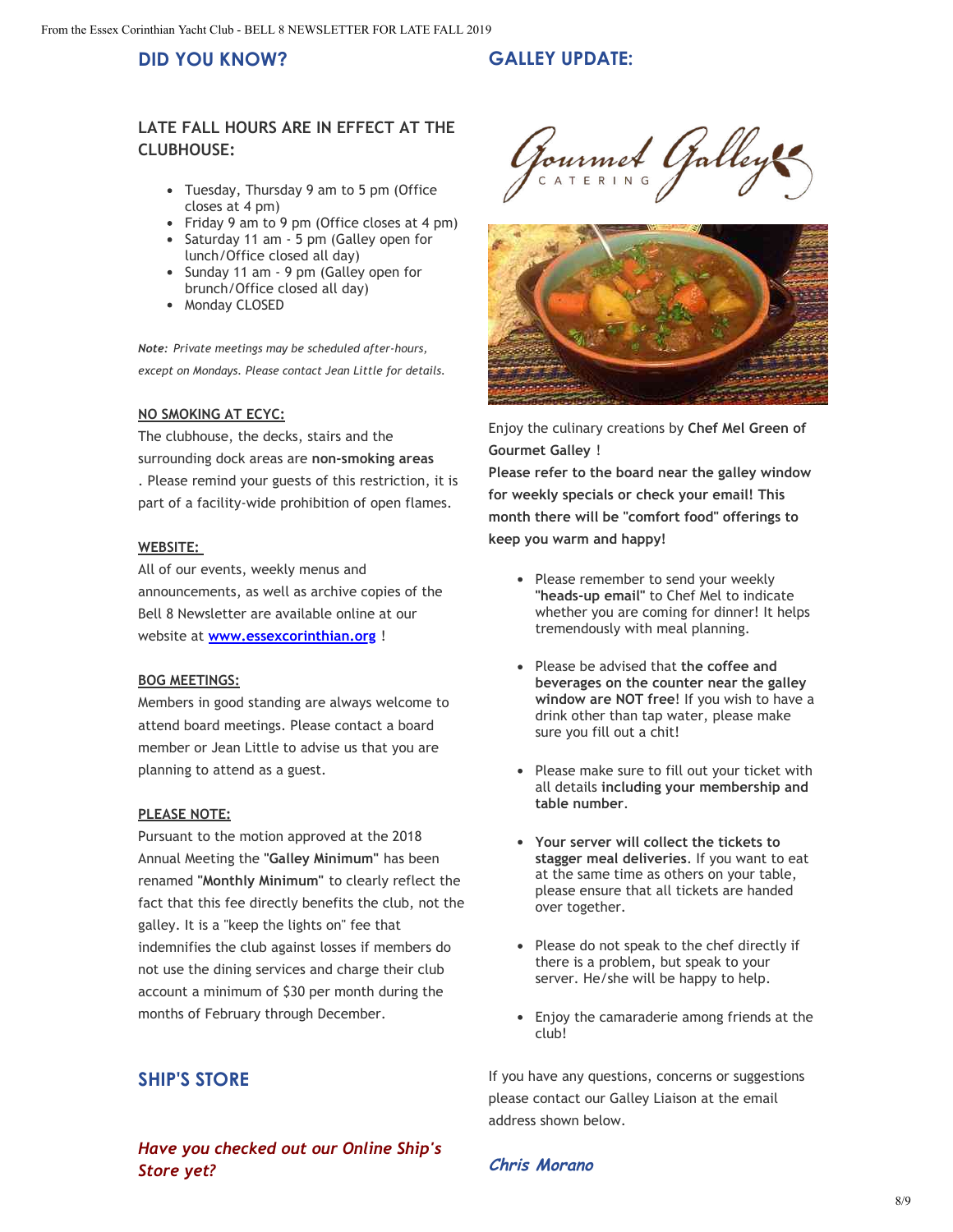#### **DID YOU KNOW?**

#### **GALLEY UPDATE:**

#### **LATE FALL HOURS ARE IN EFFECT AT THE CLUBHOUSE:**

- Tuesday, Thursday 9 am to 5 pm (Office closes at 4 pm)
- Friday 9 am to 9 pm (Office closes at 4 pm)
- Saturday 11 am 5 pm (Galley open for lunch/Office closed all day)
- Sunday 11 am 9 pm (Galley open for brunch/Office closed all day)
- Monday CLOSED

*Note: Private meetings may be scheduled after-hours, except on Mondays. Please contact Jean Little for details.*

#### **NO SMOKING AT ECYC:**

The clubhouse, the decks, stairs and the surrounding dock areas are **non-smoking areas** . Please remind your guests of this restriction, it is part of a facility-wide prohibition of open flames.

#### **WEBSITE:**

All of our events, weekly menus and announcements, as well as archive copies of the Bell 8 Newsletter are available online at our website at **[www.essexcorinthian.org](https://www.essexcorinthian.org/)** !

#### **BOG MEETINGS:**

Members in good standing are always welcome to attend board meetings. Please contact a board member or Jean Little to advise us that you are planning to attend as a guest.

#### **PLEASE NOTE:**

Pursuant to the motion approved at the 2018 Annual Meeting the **"Galley Minimum"** has been renamed **"Monthly Minimum"** to clearly reflect the fact that this fee directly benefits the club, not the galley. It is a "keep the lights on" fee that indemnifies the club against losses if members do not use the dining services and charge their club account a minimum of \$30 per month during the months of February through December.

## **SHIP'S STORE**

*Have you checked out our Online Ship's Store yet?*

Pourmet Galley



Enjoy the culinary creations by **Chef Mel Green of Gourmet Galley** !

**Please refer to the board near the galley window for weekly specials or check your email! This month there will be "comfort food" offerings to keep you warm and happy!**

- Please remember to send your weekly **"heads-up email"** to Chef Mel to indicate whether you are coming for dinner! It helps tremendously with meal planning.
- Please be advised that **the coffee and beverages on the counter near the galley window are NOT free**! If you wish to have a drink other than tap water, please make sure you fill out a chit!
- Please make sure to fill out your ticket with all details **including your membership and table number**.
- **Your server will collect the tickets to stagger meal deliveries**. If you want to eat at the same time as others on your table, please ensure that all tickets are handed over together.
- Please do not speak to the chef directly if there is a problem, but speak to your server. He/she will be happy to help.
- Enjoy the camaraderie among friends at the club!

 If you have any questions, concerns or suggestions please contact our Galley Liaison at the email address shown below.

#### **Chris Morano**